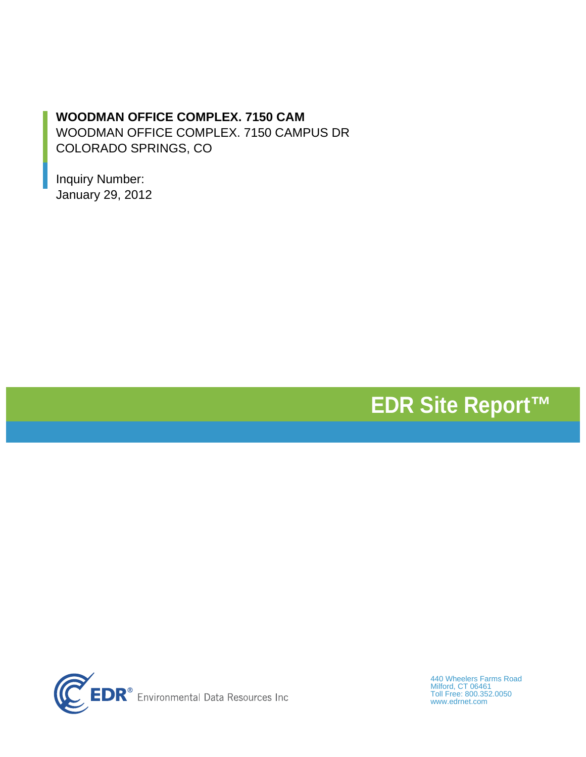## **WOODMAN OFFICE COMPLEX. 7150 CAM**

WOODMAN OFFICE COMPLEX. 7150 CAMPUS DR COLORADO SPRINGS, CO

Inquiry Number: January 29, 2012

# **EDR Site Report™**



440 Wheelers Farms Road Milford, CT 06461 Toll Free: 800.352.0050 www.edrnet.com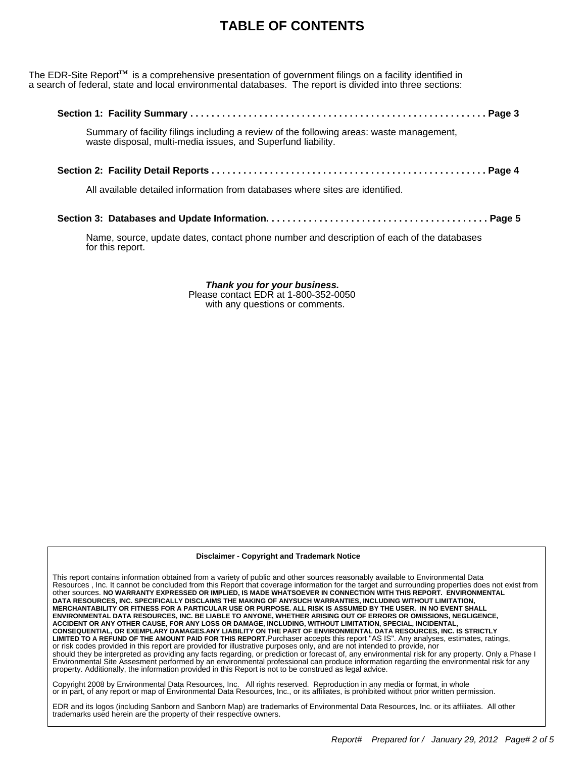# **TABLE OF CONTENTS**

The EDR-Site Report<sup>TM</sup> is a comprehensive presentation of government filings on a facility identified in a search of federal, state and local environmental databases. The report is divided into three sections:

| Summary of facility filings including a review of the following areas: waste management, waste disposal, multi-media issues, and Superfund liability. |  |
|-------------------------------------------------------------------------------------------------------------------------------------------------------|--|
|                                                                                                                                                       |  |
| All available detailed information from databases where sites are identified.                                                                         |  |
|                                                                                                                                                       |  |

Name, source, update dates, contact phone number and description of each of the databases for this report.

> *Thank you for your business.* Please contact EDR at 1-800-352-0050 with any questions or comments.

**Disclaimer - Copyright and Trademark Notice**

This report contains information obtained from a variety of public and other sources reasonably available to Environmental Data Resources , Inc. It cannot be concluded from this Report that coverage information for the target and surrounding properties does not exist from other sources. **NO WARRANTY EXPRESSED OR IMPLIED, IS MADE WHATSOEVER IN CONNECTION WITH THIS REPORT. ENVIRONMENTAL DATA RESOURCES, INC. SPECIFICALLY DISCLAIMS THE MAKING OF ANYSUCH WARRANTIES, INCLUDING WITHOUT LIMITATION, MERCHANTABILITY OR FITNESS FOR A PARTICULAR USE OR PURPOSE. ALL RISK IS ASSUMED BY THE USER. IN NO EVENT SHALL ENVIRONMENTAL DATA RESOURCES, INC. BE LIABLE TO ANYONE, WHETHER ARISING OUT OF ERRORS OR OMISSIONS, NEGLIGENCE, ACCIDENT OR ANY OTHER CAUSE, FOR ANY LOSS OR DAMAGE, INCLUDING, WITHOUT LIMITATION, SPECIAL, INCIDENTAL, CONSEQUENTIAL, OR EXEMPLARY DAMAGES.ANY LIABILITY ON THE PART OF ENVIRONMENTAL DATA RESOURCES, INC. IS STRICTLY LIMITED TO A REFUND OF THE AMOUNT PAID FOR THIS REPORT.**Purchaser accepts this report "AS IS". Any analyses, estimates, ratings, or risk codes provided in this report are provided for illustrative purposes only, and are not intended to provide, nor should they be interpreted as providing any facts regarding, or prediction or forecast of, any environmental risk for any property. Only a Phase I Environmental Site Assesment performed by an environmental professional can produce information regarding the environmental risk for any property. Additionally, the information provided in this Report is not to be construed as legal advice.

Copyright 2008 by Environmental Data Resources, Inc. All rights reserved. Reproduction in any media or format, in whole<br>or in part, of any report or map of Environmental Data Resources, Inc., or its affiliates, is prohi

EDR and its logos (including Sanborn and Sanborn Map) are trademarks of Environmental Data Resources, Inc. or its affiliates. All other trademarks used herein are the property of their respective owners.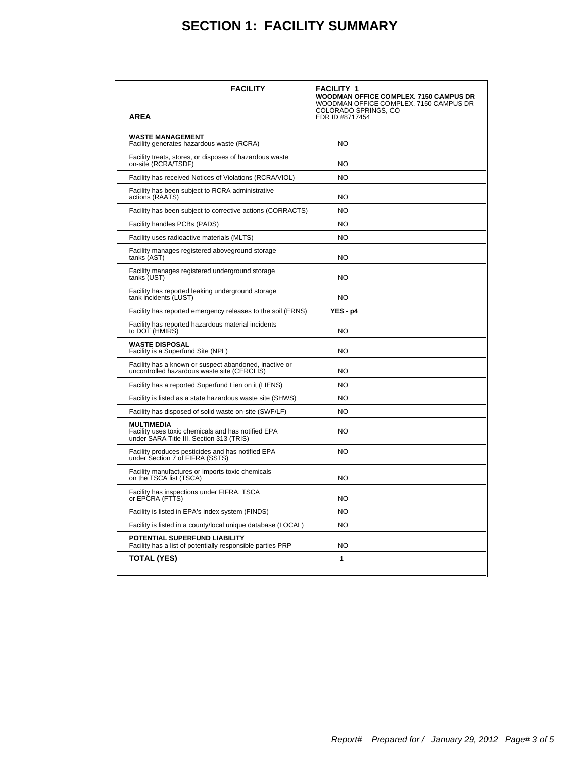# **SECTION 1: FACILITY SUMMARY**

| <b>FACILITY</b>                                                                                                     | <b>FACILITY 1</b><br><b>WOODMAN OFFICE COMPLEX. 7150 CAMPUS DR</b><br>WOODMAN OFFICE COMPLEX. 7150 CAMPUS DR<br>COLORADO SPRINGS, CO |
|---------------------------------------------------------------------------------------------------------------------|--------------------------------------------------------------------------------------------------------------------------------------|
| <b>AREA</b>                                                                                                         | EDR ID #8717454                                                                                                                      |
| <b>WASTE MANAGEMENT</b><br>Facility generates hazardous waste (RCRA)                                                | <b>NO</b>                                                                                                                            |
| Facility treats, stores, or disposes of hazardous waste<br>on-site (RCRA/TSDF)                                      | <b>NO</b>                                                                                                                            |
| Facility has received Notices of Violations (RCRA/VIOL)                                                             | <b>NO</b>                                                                                                                            |
| Facility has been subject to RCRA administrative<br>actions (RAATS)                                                 | NO                                                                                                                                   |
| Facility has been subject to corrective actions (CORRACTS)                                                          | <b>NO</b>                                                                                                                            |
| Facility handles PCBs (PADS)                                                                                        | <b>NO</b>                                                                                                                            |
| Facility uses radioactive materials (MLTS)                                                                          | NO.                                                                                                                                  |
| Facility manages registered aboveground storage<br>tanks (AST)                                                      | NO                                                                                                                                   |
| Facility manages registered underground storage<br>tanks (UST)                                                      | NO.                                                                                                                                  |
| Facility has reported leaking underground storage<br>tank incidents (LUST)                                          | NO                                                                                                                                   |
| Facility has reported emergency releases to the soil (ERNS)                                                         | $YES - p4$                                                                                                                           |
| Facility has reported hazardous material incidents<br>to DOT (HMIRS)                                                | NO.                                                                                                                                  |
| <b>WASTE DISPOSAL</b><br>Facility is a Superfund Site (NPL)                                                         | <b>NO</b>                                                                                                                            |
| Facility has a known or suspect abandoned, inactive or<br>uncontrolled hazardous waste site (CERCLIS)               | NO                                                                                                                                   |
| Facility has a reported Superfund Lien on it (LIENS)                                                                | <b>NO</b>                                                                                                                            |
| Facility is listed as a state hazardous waste site (SHWS)                                                           | <b>NO</b>                                                                                                                            |
| Facility has disposed of solid waste on-site (SWF/LF)                                                               | <b>NO</b>                                                                                                                            |
| <b>MULTIMEDIA</b><br>Facility uses toxic chemicals and has notified EPA<br>under SARA Title III, Section 313 (TRIS) | NO                                                                                                                                   |
| Facility produces pesticides and has notified EPA<br>under Section 7 of FIFRA (SSTS)                                | NO                                                                                                                                   |
| Facility manufactures or imports toxic chemicals<br>on the TSCA list (TSCA)                                         | NO.                                                                                                                                  |
| Facility has inspections under FIFRA, TSCA<br>or EPCRA (FTTS)                                                       | NO                                                                                                                                   |
| Facility is listed in EPA's index system (FINDS)                                                                    | N <sub>O</sub>                                                                                                                       |
| Facility is listed in a county/local unique database (LOCAL)                                                        | N <sub>O</sub>                                                                                                                       |
| POTENTIAL SUPERFUND LIABILITY<br>Facility has a list of potentially responsible parties PRP                         | NO                                                                                                                                   |
| <b>TOTAL (YES)</b>                                                                                                  | 1                                                                                                                                    |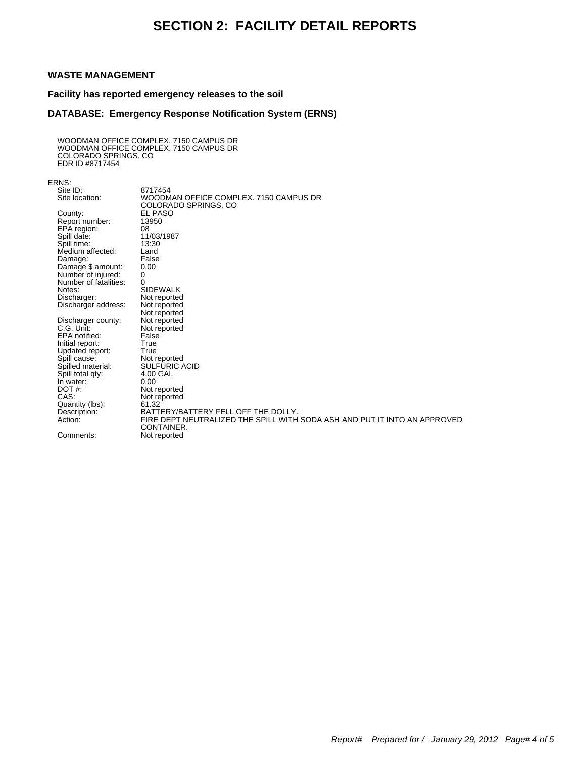## **SECTION 2: FACILITY DETAIL REPORTS**

### **WASTE MANAGEMENT**

**Facility has reported emergency releases to the soil**

#### **DATABASE: Emergency Response Notification System (ERNS)**

WOODMAN OFFICE COMPLEX. 7150 CAMPUS DR WOODMAN OFFICE COMPLEX. 7150 CAMPUS DR COLORADO SPRINGS, CO EDR ID #8717454

ERNS:

| KINO.                                   |                                                                           |
|-----------------------------------------|---------------------------------------------------------------------------|
| Site ID:                                | 8717454                                                                   |
| Site location:                          | WOODMAN OFFICE COMPLEX, 7150 CAMPUS DR                                    |
|                                         | COLORADO SPRINGS, CO                                                      |
| County:                                 | EL PASO                                                                   |
| Report number:                          | 13950                                                                     |
| EPA region:                             | 08                                                                        |
| Spill date:                             | 11/03/1987                                                                |
| Spill time:                             | 13:30                                                                     |
| Medium affected:                        | Land                                                                      |
|                                         | False                                                                     |
| Damage:                                 | 0.00                                                                      |
| Damage \$ amount:<br>Number of injured: | 0                                                                         |
|                                         |                                                                           |
| Number of fatalities:                   | 0<br><b>SIDEWALK</b>                                                      |
| Notes:                                  |                                                                           |
| Discharger:                             | Not reported                                                              |
| Discharger address:                     | Not reported                                                              |
|                                         | Not reported                                                              |
| Discharger county:                      | Not reported                                                              |
| C.G. Unit:                              | Not reported                                                              |
| EPA notified:                           | False                                                                     |
| Initial report:                         | True                                                                      |
| Updated report:                         | True                                                                      |
| Spill cause:                            | Not reported                                                              |
| Spilled material:                       | <b>SULFURIC ACID</b>                                                      |
| Spill total qty:                        | 4.00 GAL                                                                  |
| In water:                               | 0.00                                                                      |
| DOT#:                                   | Not reported                                                              |
| CAS:                                    | Not reported                                                              |
| Quantity (lbs):                         | 61.32                                                                     |
| Description:                            | BATTERY/BATTERY FELL OFF THE DOLLY.                                       |
| Action:                                 | FIRE DEPT NEUTRALIZED THE SPILL WITH SODA ASH AND PUT IT INTO AN APPROVED |
|                                         | CONTAINER.                                                                |
| Comments:                               | Not reported                                                              |
|                                         |                                                                           |